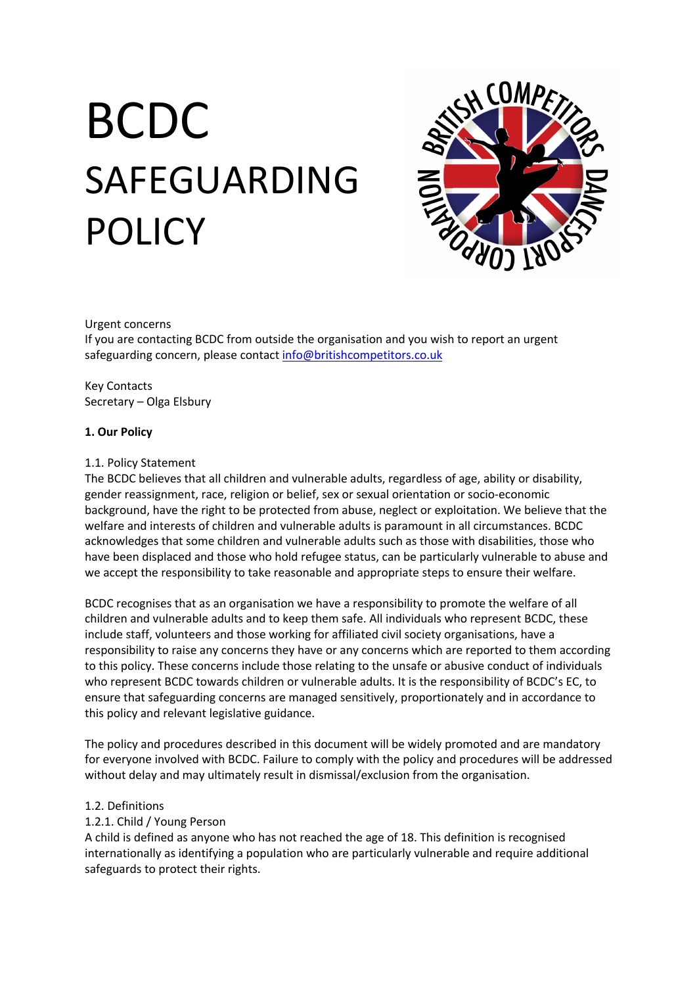# BCDC SAFEGUARDING POLICY



#### Urgent concerns

If you are contacting BCDC from outside the organisation and you wish to report an urgent safeguarding concern, please contact info@britishcompetitors.co.uk

Key Contacts Secretary – Olga Elsbury

## **1. Our Policy**

#### 1.1. Policy Statement

The BCDC believes that all children and vulnerable adults, regardless of age, ability or disability, gender reassignment, race, religion or belief, sex or sexual orientation or socio-economic background, have the right to be protected from abuse, neglect or exploitation. We believe that the welfare and interests of children and vulnerable adults is paramount in all circumstances. BCDC acknowledges that some children and vulnerable adults such as those with disabilities, those who have been displaced and those who hold refugee status, can be particularly vulnerable to abuse and we accept the responsibility to take reasonable and appropriate steps to ensure their welfare.

BCDC recognises that as an organisation we have a responsibility to promote the welfare of all children and vulnerable adults and to keep them safe. All individuals who represent BCDC, these include staff, volunteers and those working for affiliated civil society organisations, have a responsibility to raise any concerns they have or any concerns which are reported to them according to this policy. These concerns include those relating to the unsafe or abusive conduct of individuals who represent BCDC towards children or vulnerable adults. It is the responsibility of BCDC's EC, to ensure that safeguarding concerns are managed sensitively, proportionately and in accordance to this policy and relevant legislative guidance.

The policy and procedures described in this document will be widely promoted and are mandatory for everyone involved with BCDC. Failure to comply with the policy and procedures will be addressed without delay and may ultimately result in dismissal/exclusion from the organisation.

#### 1.2. Definitions

#### 1.2.1. Child / Young Person

A child is defined as anyone who has not reached the age of 18. This definition is recognised internationally as identifying a population who are particularly vulnerable and require additional safeguards to protect their rights.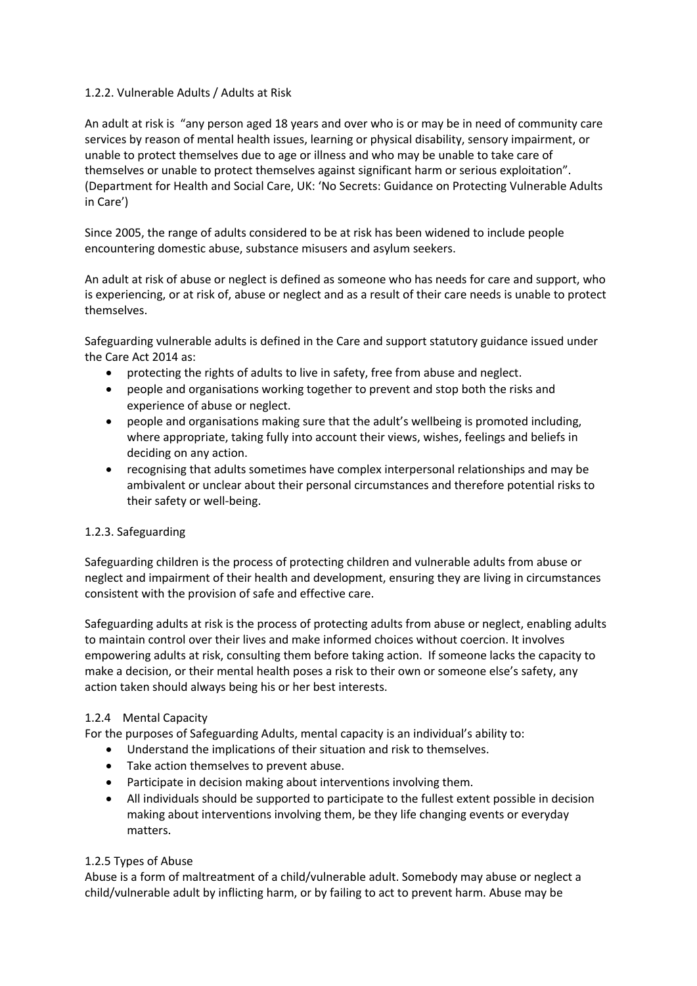# 1.2.2. Vulnerable Adults / Adults at Risk

An adult at risk is "any person aged 18 years and over who is or may be in need of community care services by reason of mental health issues, learning or physical disability, sensory impairment, or unable to protect themselves due to age or illness and who may be unable to take care of themselves or unable to protect themselves against significant harm or serious exploitation". (Department for Health and Social Care, UK: 'No Secrets: Guidance on Protecting Vulnerable Adults in Care')

Since 2005, the range of adults considered to be at risk has been widened to include people encountering domestic abuse, substance misusers and asylum seekers.

An adult at risk of abuse or neglect is defined as someone who has needs for care and support, who is experiencing, or at risk of, abuse or neglect and as a result of their care needs is unable to protect themselves.

Safeguarding vulnerable adults is defined in the Care and support statutory guidance issued under the Care Act 2014 as:

- protecting the rights of adults to live in safety, free from abuse and neglect.
- people and organisations working together to prevent and stop both the risks and experience of abuse or neglect.
- people and organisations making sure that the adult's wellbeing is promoted including, where appropriate, taking fully into account their views, wishes, feelings and beliefs in deciding on any action.
- recognising that adults sometimes have complex interpersonal relationships and may be ambivalent or unclear about their personal circumstances and therefore potential risks to their safety or well-being.

# 1.2.3. Safeguarding

Safeguarding children is the process of protecting children and vulnerable adults from abuse or neglect and impairment of their health and development, ensuring they are living in circumstances consistent with the provision of safe and effective care.

Safeguarding adults at risk is the process of protecting adults from abuse or neglect, enabling adults to maintain control over their lives and make informed choices without coercion. It involves empowering adults at risk, consulting them before taking action. If someone lacks the capacity to make a decision, or their mental health poses a risk to their own or someone else's safety, any action taken should always being his or her best interests.

# 1.2.4 Mental Capacity

For the purposes of Safeguarding Adults, mental capacity is an individual's ability to:

- Understand the implications of their situation and risk to themselves.
- Take action themselves to prevent abuse.
- Participate in decision making about interventions involving them.
- All individuals should be supported to participate to the fullest extent possible in decision making about interventions involving them, be they life changing events or everyday matters.

# 1.2.5 Types of Abuse

Abuse is a form of maltreatment of a child/vulnerable adult. Somebody may abuse or neglect a child/vulnerable adult by inflicting harm, or by failing to act to prevent harm. Abuse may be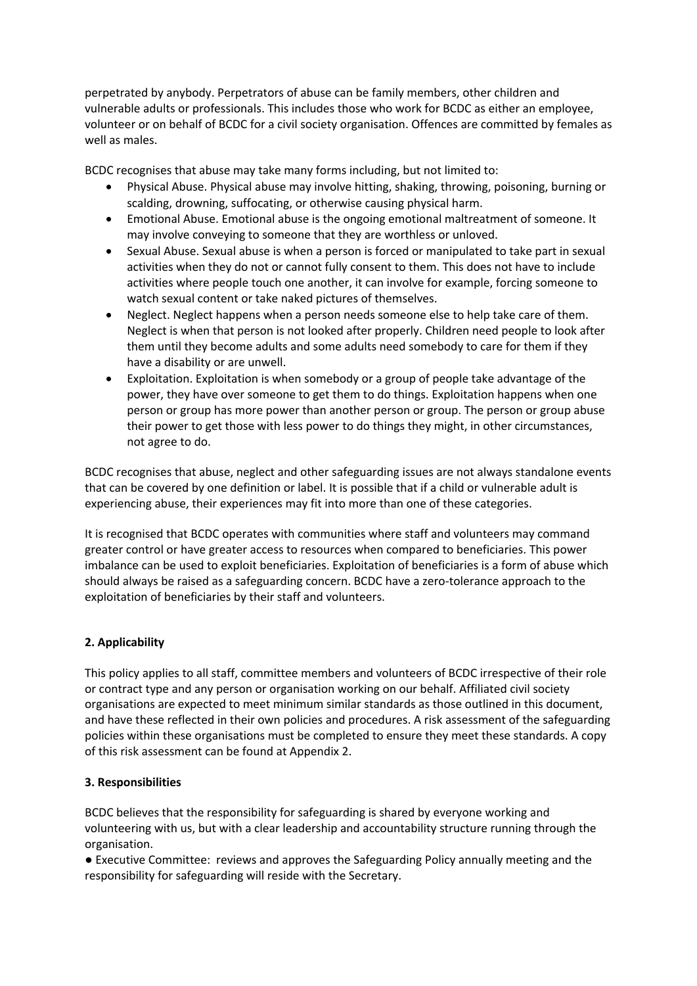perpetrated by anybody. Perpetrators of abuse can be family members, other children and vulnerable adults or professionals. This includes those who work for BCDC as either an employee, volunteer or on behalf of BCDC for a civil society organisation. Offences are committed by females as well as males.

BCDC recognises that abuse may take many forms including, but not limited to:

- Physical Abuse. Physical abuse may involve hitting, shaking, throwing, poisoning, burning or scalding, drowning, suffocating, or otherwise causing physical harm.
- Emotional Abuse. Emotional abuse is the ongoing emotional maltreatment of someone. It may involve conveying to someone that they are worthless or unloved.
- Sexual Abuse. Sexual abuse is when a person is forced or manipulated to take part in sexual activities when they do not or cannot fully consent to them. This does not have to include activities where people touch one another, it can involve for example, forcing someone to watch sexual content or take naked pictures of themselves.
- Neglect. Neglect happens when a person needs someone else to help take care of them. Neglect is when that person is not looked after properly. Children need people to look after them until they become adults and some adults need somebody to care for them if they have a disability or are unwell.
- Exploitation. Exploitation is when somebody or a group of people take advantage of the power, they have over someone to get them to do things. Exploitation happens when one person or group has more power than another person or group. The person or group abuse their power to get those with less power to do things they might, in other circumstances, not agree to do.

BCDC recognises that abuse, neglect and other safeguarding issues are not always standalone events that can be covered by one definition or label. It is possible that if a child or vulnerable adult is experiencing abuse, their experiences may fit into more than one of these categories.

It is recognised that BCDC operates with communities where staff and volunteers may command greater control or have greater access to resources when compared to beneficiaries. This power imbalance can be used to exploit beneficiaries. Exploitation of beneficiaries is a form of abuse which should always be raised as a safeguarding concern. BCDC have a zero-tolerance approach to the exploitation of beneficiaries by their staff and volunteers.

# **2. Applicability**

This policy applies to all staff, committee members and volunteers of BCDC irrespective of their role or contract type and any person or organisation working on our behalf. Affiliated civil society organisations are expected to meet minimum similar standards as those outlined in this document, and have these reflected in their own policies and procedures. A risk assessment of the safeguarding policies within these organisations must be completed to ensure they meet these standards. A copy of this risk assessment can be found at Appendix 2.

#### **3. Responsibilities**

BCDC believes that the responsibility for safeguarding is shared by everyone working and volunteering with us, but with a clear leadership and accountability structure running through the organisation.

● Executive Committee: reviews and approves the Safeguarding Policy annually meeting and the responsibility for safeguarding will reside with the Secretary.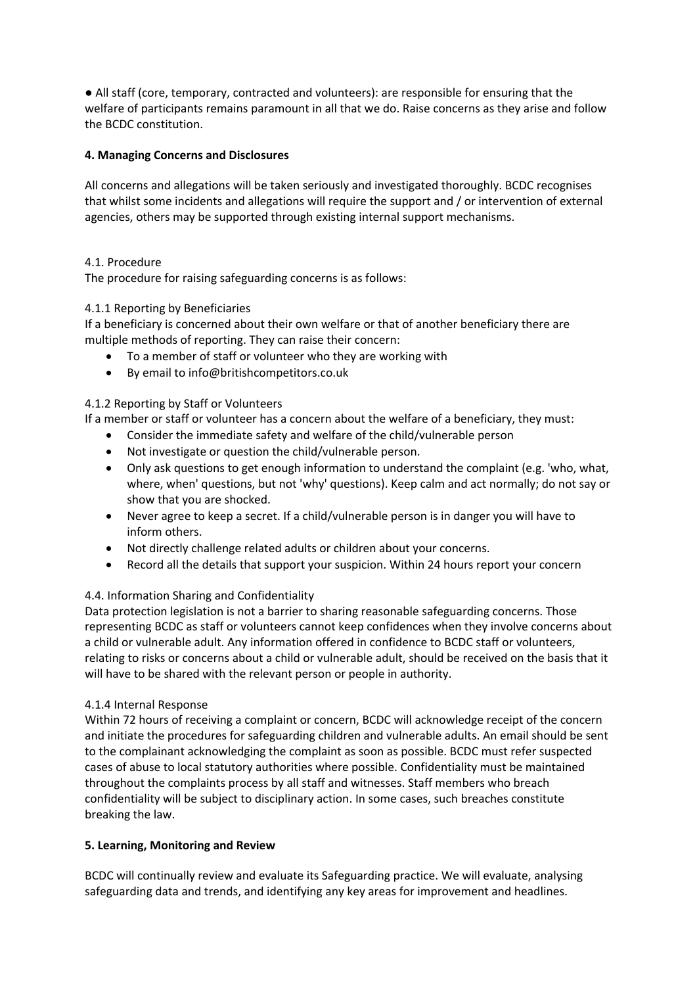● All staff (core, temporary, contracted and volunteers): are responsible for ensuring that the welfare of participants remains paramount in all that we do. Raise concerns as they arise and follow the BCDC constitution.

# **4. Managing Concerns and Disclosures**

All concerns and allegations will be taken seriously and investigated thoroughly. BCDC recognises that whilst some incidents and allegations will require the support and / or intervention of external agencies, others may be supported through existing internal support mechanisms.

## 4.1. Procedure

The procedure for raising safeguarding concerns is as follows:

## 4.1.1 Reporting by Beneficiaries

If a beneficiary is concerned about their own welfare or that of another beneficiary there are multiple methods of reporting. They can raise their concern:

- To a member of staff or volunteer who they are working with
- By email to info@britishcompetitors.co.uk

## 4.1.2 Reporting by Staff or Volunteers

If a member or staff or volunteer has a concern about the welfare of a beneficiary, they must:

- Consider the immediate safety and welfare of the child/vulnerable person
- Not investigate or question the child/vulnerable person.
- Only ask questions to get enough information to understand the complaint (e.g. 'who, what, where, when' questions, but not 'why' questions). Keep calm and act normally; do not say or show that you are shocked.
- Never agree to keep a secret. If a child/vulnerable person is in danger you will have to inform others.
- Not directly challenge related adults or children about your concerns.
- Record all the details that support your suspicion. Within 24 hours report your concern

# 4.4. Information Sharing and Confidentiality

Data protection legislation is not a barrier to sharing reasonable safeguarding concerns. Those representing BCDC as staff or volunteers cannot keep confidences when they involve concerns about a child or vulnerable adult. Any information offered in confidence to BCDC staff or volunteers, relating to risks or concerns about a child or vulnerable adult, should be received on the basis that it will have to be shared with the relevant person or people in authority.

#### 4.1.4 Internal Response

Within 72 hours of receiving a complaint or concern, BCDC will acknowledge receipt of the concern and initiate the procedures for safeguarding children and vulnerable adults. An email should be sent to the complainant acknowledging the complaint as soon as possible. BCDC must refer suspected cases of abuse to local statutory authorities where possible. Confidentiality must be maintained throughout the complaints process by all staff and witnesses. Staff members who breach confidentiality will be subject to disciplinary action. In some cases, such breaches constitute breaking the law.

#### **5. Learning, Monitoring and Review**

BCDC will continually review and evaluate its Safeguarding practice. We will evaluate, analysing safeguarding data and trends, and identifying any key areas for improvement and headlines.